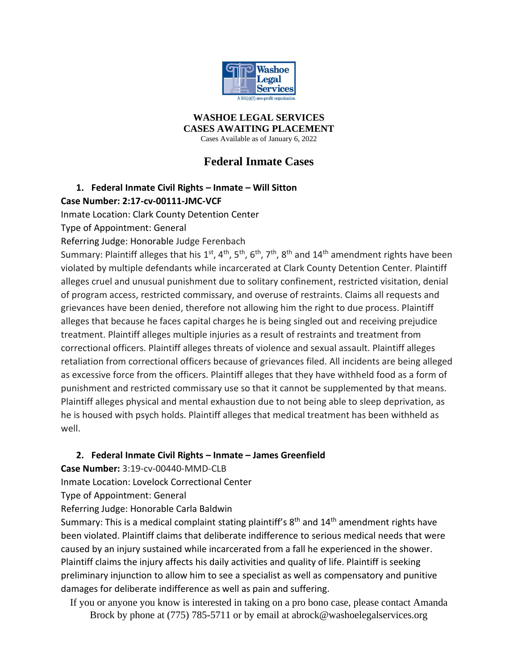

#### **WASHOE LEGAL SERVICES CASES AWAITING PLACEMENT** Cases Available as of January 6, 2022

## **Federal Inmate Cases**

### **1. Federal Inmate Civil Rights – Inmate – Will Sitton Case Number: 2:17-cv-00111-JMC-VCF**

Inmate Location: Clark County Detention Center

Type of Appointment: General

Referring Judge: Honorable Judge Ferenbach

Summary: Plaintiff alleges that his 1<sup>st</sup>, 4<sup>th</sup>, 5<sup>th</sup>, 6<sup>th</sup>, 7<sup>th</sup>, 8<sup>th</sup> and 14<sup>th</sup> amendment rights have been violated by multiple defendants while incarcerated at Clark County Detention Center. Plaintiff alleges cruel and unusual punishment due to solitary confinement, restricted visitation, denial of program access, restricted commissary, and overuse of restraints. Claims all requests and grievances have been denied, therefore not allowing him the right to due process. Plaintiff alleges that because he faces capital charges he is being singled out and receiving prejudice treatment. Plaintiff alleges multiple injuries as a result of restraints and treatment from correctional officers. Plaintiff alleges threats of violence and sexual assault. Plaintiff alleges retaliation from correctional officers because of grievances filed. All incidents are being alleged as excessive force from the officers. Plaintiff alleges that they have withheld food as a form of punishment and restricted commissary use so that it cannot be supplemented by that means. Plaintiff alleges physical and mental exhaustion due to not being able to sleep deprivation, as he is housed with psych holds. Plaintiff alleges that medical treatment has been withheld as well.

## **2. Federal Inmate Civil Rights – Inmate – James Greenfield**

**Case Number:** 3:19-cv-00440-MMD-CLB

Inmate Location: Lovelock Correctional Center

Type of Appointment: General

Referring Judge: Honorable Carla Baldwin

Summary: This is a medical complaint stating plaintiff's  $8<sup>th</sup>$  and  $14<sup>th</sup>$  amendment rights have been violated. Plaintiff claims that deliberate indifference to serious medical needs that were caused by an injury sustained while incarcerated from a fall he experienced in the shower. Plaintiff claims the injury affects his daily activities and quality of life. Plaintiff is seeking preliminary injunction to allow him to see a specialist as well as compensatory and punitive damages for deliberate indifference as well as pain and suffering.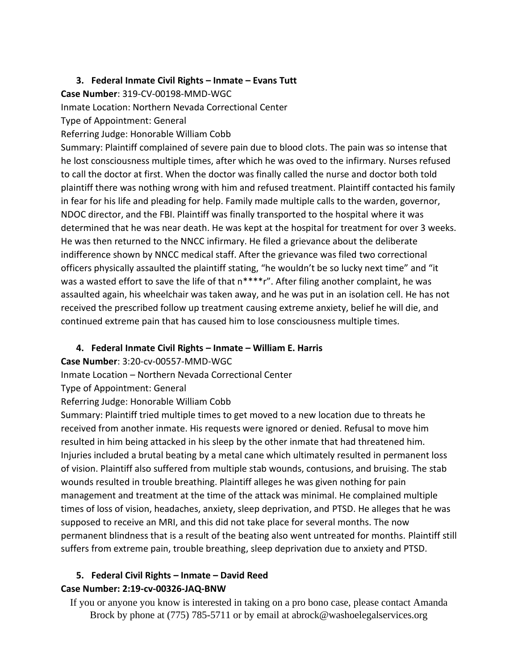### **3. Federal Inmate Civil Rights – Inmate – Evans Tutt**

**Case Number**: 319-CV-00198-MMD-WGC

Inmate Location: Northern Nevada Correctional Center

Type of Appointment: General

Referring Judge: Honorable William Cobb

Summary: Plaintiff complained of severe pain due to blood clots. The pain was so intense that he lost consciousness multiple times, after which he was oved to the infirmary. Nurses refused to call the doctor at first. When the doctor was finally called the nurse and doctor both told plaintiff there was nothing wrong with him and refused treatment. Plaintiff contacted his family in fear for his life and pleading for help. Family made multiple calls to the warden, governor, NDOC director, and the FBI. Plaintiff was finally transported to the hospital where it was determined that he was near death. He was kept at the hospital for treatment for over 3 weeks. He was then returned to the NNCC infirmary. He filed a grievance about the deliberate indifference shown by NNCC medical staff. After the grievance was filed two correctional officers physically assaulted the plaintiff stating, "he wouldn't be so lucky next time" and "it was a wasted effort to save the life of that  $n***r"$ . After filing another complaint, he was assaulted again, his wheelchair was taken away, and he was put in an isolation cell. He has not received the prescribed follow up treatment causing extreme anxiety, belief he will die, and continued extreme pain that has caused him to lose consciousness multiple times.

### **4. Federal Inmate Civil Rights – Inmate – William E. Harris**

**Case Number**: 3:20-cv-00557-MMD-WGC

Inmate Location – Northern Nevada Correctional Center

Type of Appointment: General

Referring Judge: Honorable William Cobb

Summary: Plaintiff tried multiple times to get moved to a new location due to threats he received from another inmate. His requests were ignored or denied. Refusal to move him resulted in him being attacked in his sleep by the other inmate that had threatened him. Injuries included a brutal beating by a metal cane which ultimately resulted in permanent loss of vision. Plaintiff also suffered from multiple stab wounds, contusions, and bruising. The stab wounds resulted in trouble breathing. Plaintiff alleges he was given nothing for pain management and treatment at the time of the attack was minimal. He complained multiple times of loss of vision, headaches, anxiety, sleep deprivation, and PTSD. He alleges that he was supposed to receive an MRI, and this did not take place for several months. The now permanent blindness that is a result of the beating also went untreated for months. Plaintiff still suffers from extreme pain, trouble breathing, sleep deprivation due to anxiety and PTSD.

### **5. Federal Civil Rights – Inmate – David Reed Case Number: 2:19-cv-00326-JAQ-BNW**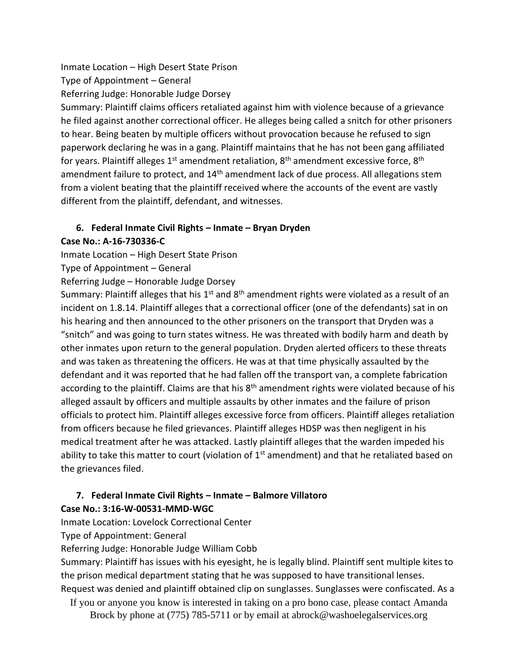Inmate Location – High Desert State Prison Type of Appointment – General Referring Judge: Honorable Judge Dorsey Summary: Plaintiff claims officers retaliated against him with violence because of a grievance he filed against another correctional officer. He alleges being called a snitch for other prisoners to hear. Being beaten by multiple officers without provocation because he refused to sign paperwork declaring he was in a gang. Plaintiff maintains that he has not been gang affiliated for years. Plaintiff alleges 1<sup>st</sup> amendment retaliation, 8<sup>th</sup> amendment excessive force, 8<sup>th</sup> amendment failure to protect, and 14<sup>th</sup> amendment lack of due process. All allegations stem from a violent beating that the plaintiff received where the accounts of the event are vastly different from the plaintiff, defendant, and witnesses.

### **6. Federal Inmate Civil Rights – Inmate – Bryan Dryden Case No.: A-16-730336-C**

Inmate Location – High Desert State Prison

Type of Appointment – General

Referring Judge – Honorable Judge Dorsey

Summary: Plaintiff alleges that his 1<sup>st</sup> and 8<sup>th</sup> amendment rights were violated as a result of an incident on 1.8.14. Plaintiff alleges that a correctional officer (one of the defendants) sat in on his hearing and then announced to the other prisoners on the transport that Dryden was a "snitch" and was going to turn states witness. He was threated with bodily harm and death by other inmates upon return to the general population. Dryden alerted officers to these threats and was taken as threatening the officers. He was at that time physically assaulted by the defendant and it was reported that he had fallen off the transport van, a complete fabrication according to the plaintiff. Claims are that his 8<sup>th</sup> amendment rights were violated because of his alleged assault by officers and multiple assaults by other inmates and the failure of prison officials to protect him. Plaintiff alleges excessive force from officers. Plaintiff alleges retaliation from officers because he filed grievances. Plaintiff alleges HDSP was then negligent in his medical treatment after he was attacked. Lastly plaintiff alleges that the warden impeded his ability to take this matter to court (violation of  $1<sup>st</sup>$  amendment) and that he retaliated based on the grievances filed.

## **7. Federal Inmate Civil Rights – Inmate – Balmore Villatoro Case No.: 3:16-W-00531-MMD-WGC**

Inmate Location: Lovelock Correctional Center

Type of Appointment: General

Referring Judge: Honorable Judge William Cobb

Summary: Plaintiff has issues with his eyesight, he is legally blind. Plaintiff sent multiple kites to the prison medical department stating that he was supposed to have transitional lenses. Request was denied and plaintiff obtained clip on sunglasses. Sunglasses were confiscated. As a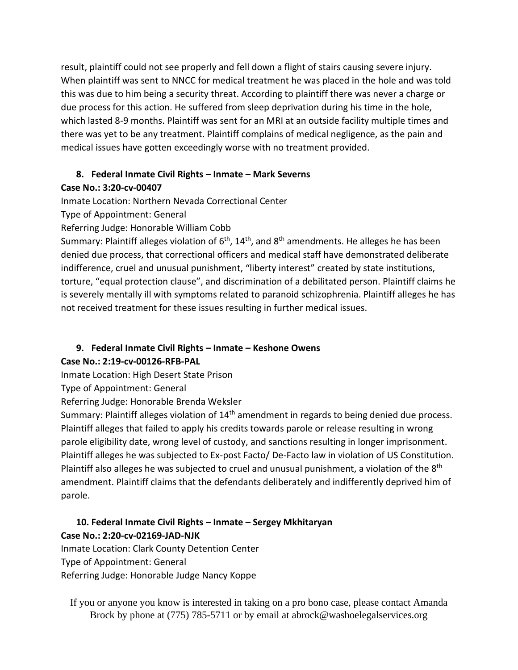result, plaintiff could not see properly and fell down a flight of stairs causing severe injury. When plaintiff was sent to NNCC for medical treatment he was placed in the hole and was told this was due to him being a security threat. According to plaintiff there was never a charge or due process for this action. He suffered from sleep deprivation during his time in the hole, which lasted 8-9 months. Plaintiff was sent for an MRI at an outside facility multiple times and there was yet to be any treatment. Plaintiff complains of medical negligence, as the pain and medical issues have gotten exceedingly worse with no treatment provided.

# **8. Federal Inmate Civil Rights – Inmate – Mark Severns**

**Case No.: 3:20-cv-00407**

Inmate Location: Northern Nevada Correctional Center

Type of Appointment: General

Referring Judge: Honorable William Cobb

Summary: Plaintiff alleges violation of  $6<sup>th</sup>$ , 14<sup>th</sup>, and 8<sup>th</sup> amendments. He alleges he has been denied due process, that correctional officers and medical staff have demonstrated deliberate indifference, cruel and unusual punishment, "liberty interest" created by state institutions, torture, "equal protection clause", and discrimination of a debilitated person. Plaintiff claims he is severely mentally ill with symptoms related to paranoid schizophrenia. Plaintiff alleges he has not received treatment for these issues resulting in further medical issues.

## **9. Federal Inmate Civil Rights – Inmate – Keshone Owens**

## **Case No.: 2:19-cv-00126-RFB-PAL**

Inmate Location: High Desert State Prison

Type of Appointment: General

Referring Judge: Honorable Brenda Weksler

Summary: Plaintiff alleges violation of 14<sup>th</sup> amendment in regards to being denied due process. Plaintiff alleges that failed to apply his credits towards parole or release resulting in wrong parole eligibility date, wrong level of custody, and sanctions resulting in longer imprisonment. Plaintiff alleges he was subjected to Ex-post Facto/ De-Facto law in violation of US Constitution. Plaintiff also alleges he was subjected to cruel and unusual punishment, a violation of the 8<sup>th</sup> amendment. Plaintiff claims that the defendants deliberately and indifferently deprived him of parole.

## **10. Federal Inmate Civil Rights – Inmate – Sergey Mkhitaryan Case No.: 2:20-cv-02169-JAD-NJK** Inmate Location: Clark County Detention Center Type of Appointment: General

Referring Judge: Honorable Judge Nancy Koppe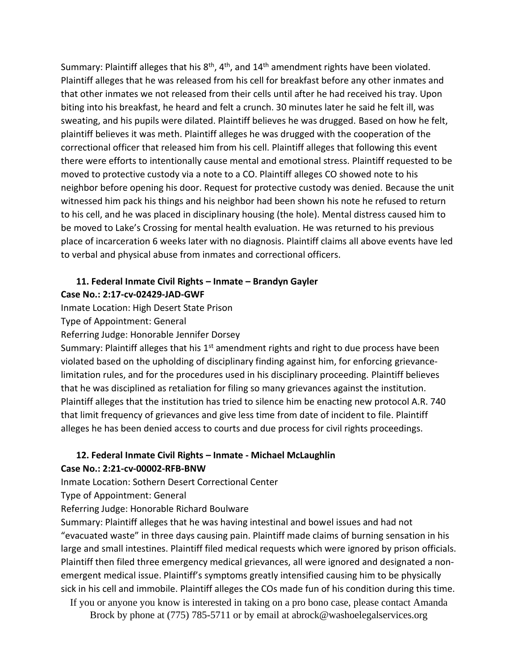Summary: Plaintiff alleges that his  $8<sup>th</sup>$ ,  $4<sup>th</sup>$ , and  $14<sup>th</sup>$  amendment rights have been violated. Plaintiff alleges that he was released from his cell for breakfast before any other inmates and that other inmates we not released from their cells until after he had received his tray. Upon biting into his breakfast, he heard and felt a crunch. 30 minutes later he said he felt ill, was sweating, and his pupils were dilated. Plaintiff believes he was drugged. Based on how he felt, plaintiff believes it was meth. Plaintiff alleges he was drugged with the cooperation of the correctional officer that released him from his cell. Plaintiff alleges that following this event there were efforts to intentionally cause mental and emotional stress. Plaintiff requested to be moved to protective custody via a note to a CO. Plaintiff alleges CO showed note to his neighbor before opening his door. Request for protective custody was denied. Because the unit witnessed him pack his things and his neighbor had been shown his note he refused to return to his cell, and he was placed in disciplinary housing (the hole). Mental distress caused him to be moved to Lake's Crossing for mental health evaluation. He was returned to his previous place of incarceration 6 weeks later with no diagnosis. Plaintiff claims all above events have led to verbal and physical abuse from inmates and correctional officers.

### **11. Federal Inmate Civil Rights – Inmate – Brandyn Gayler Case No.: 2:17-cv-02429-JAD-GWF**

Inmate Location: High Desert State Prison

Type of Appointment: General

Referring Judge: Honorable Jennifer Dorsey

Summary: Plaintiff alleges that his  $1<sup>st</sup>$  amendment rights and right to due process have been violated based on the upholding of disciplinary finding against him, for enforcing grievancelimitation rules, and for the procedures used in his disciplinary proceeding. Plaintiff believes that he was disciplined as retaliation for filing so many grievances against the institution. Plaintiff alleges that the institution has tried to silence him be enacting new protocol A.R. 740 that limit frequency of grievances and give less time from date of incident to file. Plaintiff alleges he has been denied access to courts and due process for civil rights proceedings.

### **12. Federal Inmate Civil Rights – Inmate - Michael McLaughlin**

### **Case No.: 2:21-cv-00002-RFB-BNW**

Inmate Location: Sothern Desert Correctional Center

Type of Appointment: General

Referring Judge: Honorable Richard Boulware

Summary: Plaintiff alleges that he was having intestinal and bowel issues and had not "evacuated waste" in three days causing pain. Plaintiff made claims of burning sensation in his large and small intestines. Plaintiff filed medical requests which were ignored by prison officials. Plaintiff then filed three emergency medical grievances, all were ignored and designated a nonemergent medical issue. Plaintiff's symptoms greatly intensified causing him to be physically sick in his cell and immobile. Plaintiff alleges the COs made fun of his condition during this time.